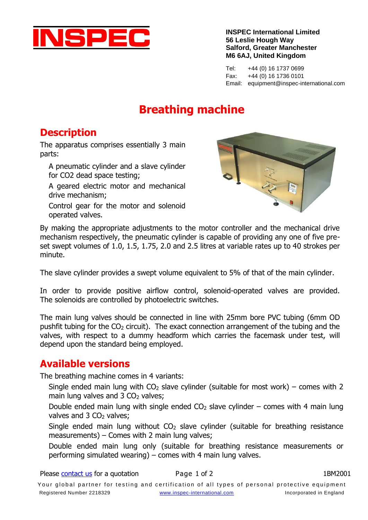

**INSPEC International Limited 56 Leslie Hough Way Salford, Greater Manchester M6 6AJ, United Kingdom**

Tel: +44 (0) 16 1737 0699 Fax: +44 (0) 16 1736 0101 Email: equipment@inspec-international.com

## **Breathing machine**

### **Description**

The apparatus comprises essentially 3 main parts:

A pneumatic cylinder and a slave cylinder for CO2 dead space testing;

A geared electric motor and mechanical drive mechanism;

Control gear for the motor and solenoid operated valves.



By making the appropriate adjustments to the motor controller and the mechanical drive mechanism respectively, the pneumatic cylinder is capable of providing any one of five preset swept volumes of 1.0, 1.5, 1.75, 2.0 and 2.5 litres at variable rates up to 40 strokes per minute.

The slave cylinder provides a swept volume equivalent to 5% of that of the main cylinder.

In order to provide positive airflow control, solenoid-operated valves are provided. The solenoids are controlled by photoelectric switches.

The main lung valves should be connected in line with 25mm bore PVC tubing (6mm OD pushfit tubing for the  $CO<sub>2</sub>$  circuit). The exact connection arrangement of the tubing and the valves, with respect to a dummy headform which carries the facemask under test, will depend upon the standard being employed.

### **Available versions**

The breathing machine comes in 4 variants:

Single ended main lung with  $CO<sub>2</sub>$  slave cylinder (suitable for most work) – comes with 2 main lung valves and  $3 \text{ CO}_2$  valves;

Double ended main lung with single ended  $CO<sub>2</sub>$  slave cylinder – comes with 4 main lung valves and 3 CO<sub>2</sub> valves;

Single ended main lung without  $CO<sub>2</sub>$  slave cylinder (suitable for breathing resistance measurements) – Comes with 2 main lung valves;

Double ended main lung only (suitable for breathing resistance measurements or performing simulated wearing) – comes with 4 main lung valves.